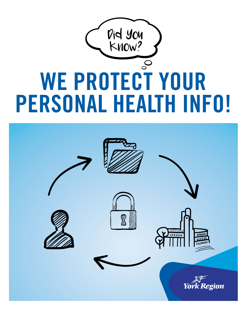

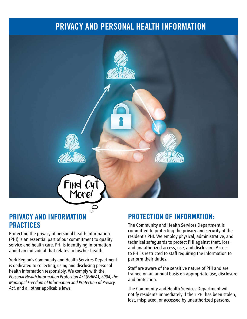## PRIVACY AND PERSONAL HEALTH INFORMATION



### PRIVACY AND INFORMATION PRACTICES

Protecting the privacy of personal health information (PHI) is an essential part of our commitment to quality service and health care. PHI is identifying information about an individual that relates to his/her health.

York Region's Community and Health Services Department is dedicated to collecting, using and disclosing personal health information responsibly. We comply with the *Personal Health Information Protection Act (PHIPA)*, *2004, the Municipal Freedom of Information and Protection of Privacy Act*, and all other applicable laws.

### PROTECTION OF INFORMATION:

The Community and Health Services Department is committed to protecting the privacy and security of the resident's PHI. We employ physical, administrative, and technical safeguards to protect PHI against theft, loss, and unauthorized access, use, and disclosure. Access to PHI is restricted to staff requiring the information to perform their duties.

Staff are aware of the sensitive nature of PHI and are trained on an annual basis on appropriate use, disclosure and protection.

The Community and Health Services Department will notify residents immediately if their PHI has been stolen, lost, misplaced, or accessed by unauthorized persons.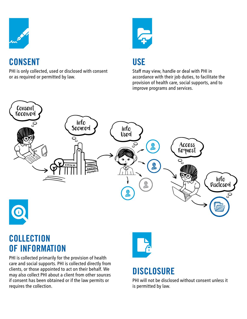

## **CONSENT**

PHI is only collected, used or disclosed with consent or as required or permitted by law.



## **USE**

Staff may view, handle or deal with PHI in accordance with their job duties, to facilitate the provision of health care, social supports, and to improve programs and services.



## **COLLECTION** OF INFORMATION

PHI is collected primarily for the provision of health care and social supports. PHI is collected directly from clients, or those appointed to act on their behalf. We may also collect PHI about a client from other sources if consent has been obtained or if the law permits or requires the collection.



# **DISCLOSURE**

PHI will not be disclosed without consent unless it is permitted by law.